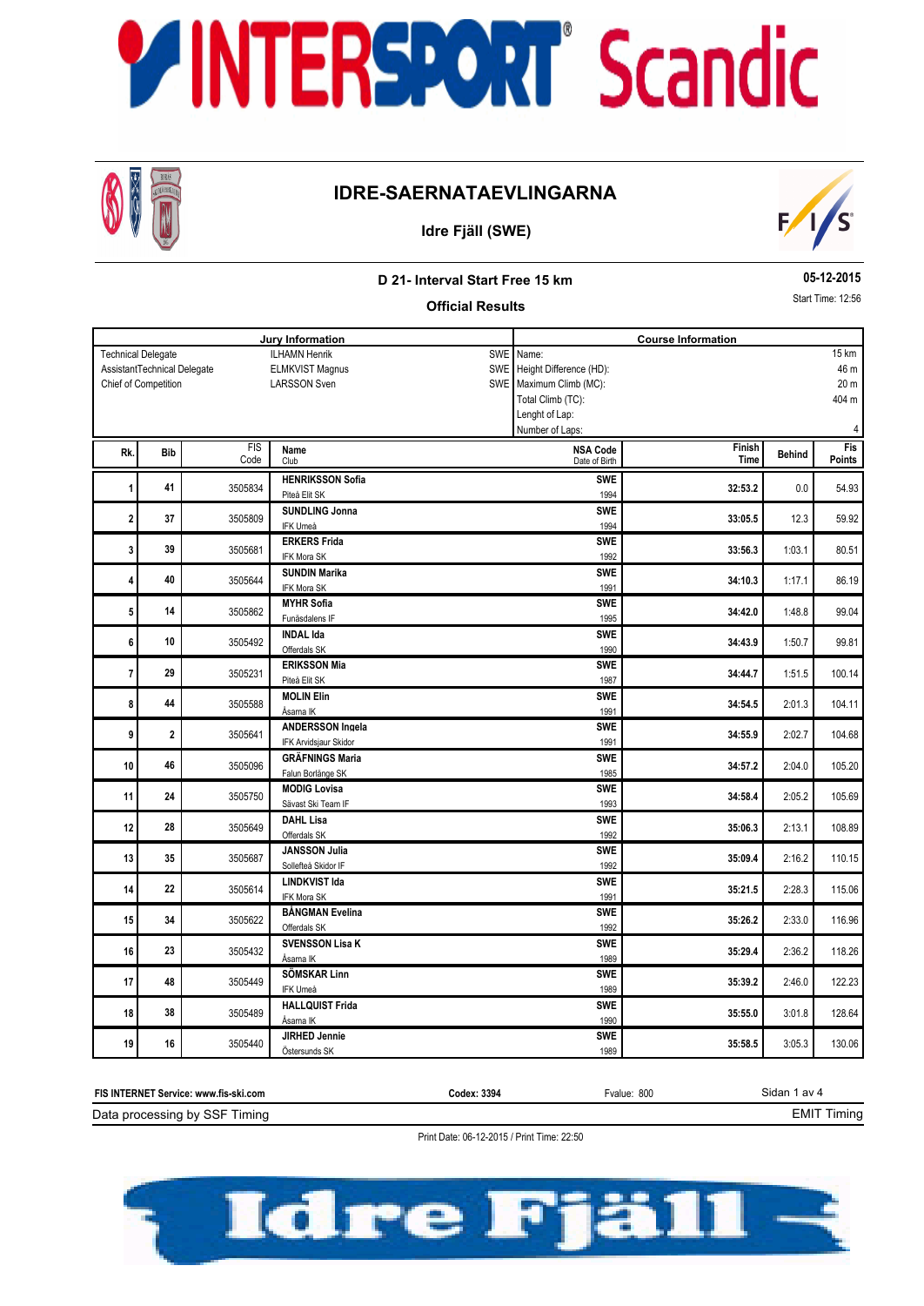

## **IDRE-SAERNATAEVLINGARNA**



### **Idre Fjäll (SWE)**

### **D 21- Interval Start Free 15 km**

**05-12-2015** Start Time: 12:56

3:05.3

### **Official Results Jury Information Course Information** ILHAMN Henrik ELMKVIST Magnus LARSSON Sven Technical Delegate Chief of Competition AssistantTechnical Delegate SWE SWE SWE Name: Height Difference (HD): Maximum Climb (MC): Total Climb (TC): Lenght of Lap: Number of Laps: 46 m 20 m 404 m 4 15 km **Behind Behind Behind Research <b>Property Behind Finish Behind Time** FIS Code Fis<br>Points Rk. Bib **Property Code (Club** Code Club Code Date of Birth Date of Birth Date of Birth Date of Birth Date of Birth Date of Birth Date of Birth Date of Birth Date of Birth Date of Birth Date of Birth Date of Birth Date of B Club **Bib** Date of Birth **NSA Code** 0.0 **HENRIKSSON Sofia 1 1 1 1 1 1 32:53.2 1 32:53.2 1 32:53.2 1 32:53.2 1 32:53.2 1 32:53.2 1 32:53.2 1 32:53.2 1 32:53.2 1 32:53.2 1 32:53.2 1 32:53.2 1 32:53.2 1 32:53.2 1 1 41 SHOTE BUSING THE SWE SWE SWE SWE** 1994 12.3 **SUNDLING Jonna 2 12.3 33:05.5 33:05.5 33:05.5 33:05.5 33:05.5 33:05.5 33:05.5 33:05.5 33:05.5 33:05.5 33:05.5 33:05.5 32:05.1 33:05.5 33:05.5 33:05.5 32:05.1 33:05.5 33:05.5 32:05.1 33:05.5 SWE 3505809 SUNDLING Jonna SWE 3505809** IFK Umeå 1994 1:03.1 **ERKERS Frida 3** 39 33:56.3 3505681 **33:46.3** 80.51 **33:56.3** 80.51 **33:56.3** 80.51 **SWE SUBSERVERS Frida** SWE 39 | SWE 3505681 | ERKERS Frida IFK Mora SK 1992 1:17.1 **SUNDIN Marika 4 40** 3505644 **3506644 34:10.3 34:10.3 34:10.3 34:10.3 34:10.3 34:10.3 34:10.3 34:10.3 34:10.3 34:10.3 34:10.3 34:10.3 34:10.3 34:10.3 34:10.3 34:10.3 34:10.3 34:10.3 34:10.3 34:1 SWE SUNDIN Marika** SUNDIN Marika SWE<br>
2011 - 2012 - 2014 - 2014 - 2014 - 2014 - 2014 - 2014 - 2014 - 2014 - 2014 - 2014 - 2014 - 2014 - 2014 - 2014 IFK Mora SK 1991 1:48.8 **MYHR Sofia 5 14 3505862 34:42.0 34:42.0 34:42.0 34:42.0 34:42.0 34:42.0 34:42.0 34:42.0 34:42.0 99.04 SWE <sup>14</sup>** Funäsdalens IF 1995 1:50.7 **INDAL Ida 6** 3505492 **34:43.9** 99.81 **SWE <sup>10</sup>** Offerdals SK 1990 1:51.5 **ERIKSSON Mia 7** 3505231 **34:44.7** 100.14 **SWE 29 PITER 2018 12 SWE** 1987<br> **SWE 29** Piteå Elit SK 1987 2:01.3 **MOLIN Elin 8 44 3505588 104.11 3605588 104.11 104.11 104.11 104.11 104.11 44 1** 3505588 **MOLIN Elin**<br> **Asama IK 1991 Asama IK**  2:02.7 **ANDERSSON Ingela**<br> **ANDERSSON Ingela**<br> **ANDERSSON Ingela 9** 3505641 **34:55.9** 104.68 IFK Arvidsjaur Skidor 1991  $2.04.0$ **GRÄFNINGS Maria SWE <sup>46</sup> 10 46 3505096 34:57.2** 105.20 **34:57.2 34:57.2** 2:04.0 **105.20** Falun Borlänge SK 1985 2:05.2 **MODIG Lovisa 11** 24 3505750 **34:58.4** 3505750 **34:58.4** 3505750 **34:58.4**  $\overline{100}$ **24 1 2505750 MODIG Lovisa 24 24 24 2505750 2606 2606** Sävast Ski Team IF 1993 2:13.1 **DAHL Lisa 12 12 28 12** 350**6649 350649 35:06.3 1213.1 108.89 1213.1 108.89 SWE <sup>28</sup>** Offerdals SK 1992 2:16.2 **JANSSON Julia 13 13** 35:09.4 **13.15:09.4 35:09.4 35:09.4 35:09.4 35:09.4 35:09.4 35:09.4 35:09.4 35:09.4 35:09.4 35:09.4 35:09.4 35:09.4 35:09.4 35:09.4 35:09.4 35:09.4 35:09.4 35:09.4 35:09.4 SWE 350887 Sollefteå Skidor IF 1992 SWE 1992 SWE 1992<br>The Sollefteå Skidor IF 1992**  2:28.3 **LINDKVIST Ida 14 22 3505614 3506614 3506614 350 35:21.5 35:21.5 35:21.5 35:21.5 35:21.5 35:21.5 35:21.5 35:21.5 35:21.5 35:21.5 35:21.5 35:21.5 35:21.5 35:21.5 35:21.5 35:21.5 35:21.5 35:21** 22 **1 23** 2305614 **LINDKVIST Ida IFK Mora SK** 1991 2:33.0 **BÅNGMAN Evelina 15** 34 3505622 <del>36:26.2</del> 35:26.2 35:26.2 35:26.2 35:26.2 35:26.2 35:26.2 35:26.2 35:26.2 35:26.2 35:26.2 35:26.2 35:26.2 35:26.2 35:26.2 35:26.2 35:26.2 35:26.2 35:26.2 35:26.2 35:26.2 35:26.2 35:26.2 35:26.2 35:26.2 35:2 **SWE SANGMAN Evelina**<br>34 **SUPER SWE SWE SWE SWE** Offerdals SK 1992  $2.36.2$ **SVENSSON Lisa K 16 16 23 18.26 3505432 118.26 35:29.4 35:29.4 35:29.4 35:29.4 35:29.4 35:29.4 35:29.4 35:29.4 35:29.4 35:29.4 35:29.4 35:29.4 35:29.4 35:29.4 35:29.4 35:29.4 35:29.4 35:29.4 SWE <sup>23</sup>** Åsarna IK <sup>1989</sup>  $2.46.0$ **SÖMSKAR Linn 17** 3505449 **35:39.2** 122.23 **48 | 3005449 | SÖMSKAR Linn | 1989 | 1989 | 1989 | 1989 | 1989 | 1989 | 1989 | 1989 | 1989 | 1989 | 1989 | 1989 | 1989 | 1989 | 1989 | 1989 | 1989 | 1989 | 1989 | 1989 | 1989 | 1989 | 1989 | 1989 | 1989 | 1989 | 1989 | 19**  3:01.8 **HALLQUIST Frida 18 18** 38 35:55.0 35:05489 35:05489 35:05489 35:05 35:05 35:05 35:05 35:05 35:05 35:05 35:05 35:05 35:05 35:05 35:05 35:05 35:05 35:05 35:05 35:05 35:05 35:05 35:05 35:05 35:05 35:05 35:05 35:05 35:05 35:05 35:05 35:05 **SWE 3505489 HALLQUIST Frida SWE 1990 SWE**

| FIS INTERNET Service: www.fis-ski.com | Codex: 3394 | Fvalue: 800 | Sidan 1 av 4   |
|---------------------------------------|-------------|-------------|----------------|
| Data processing by SSF Timing         |             |             | ≟MI™<br>-iming |

**19 16 16** 35:58.5 **3**:05.3 **130.06 35:58.5 3:05.3 130.06** 

**JIRHED Jennie**

**SWE 16** S505440 **SWE ORDER SK 1989** SWE **SWE** 1989

Print Date: 06-12-2015 / Print Time: 22:50

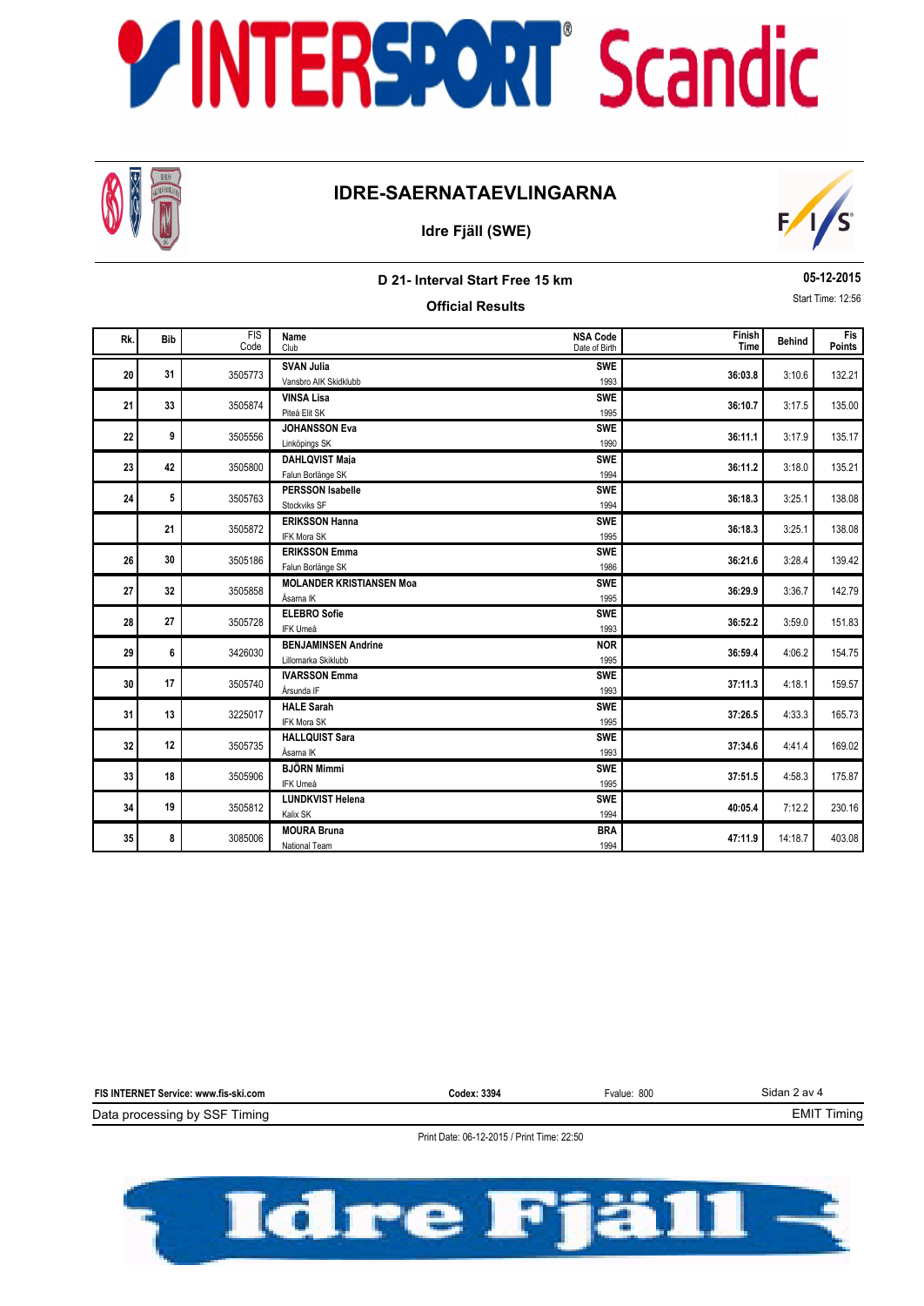

## **IDRE-SAERNATAEVLINGARNA**

### **Idre Fjäll (SWE)**



**D 21- Interval Start Free 15 km Official Results**

### **05-12-2015** Start Time: 12:56

| Rk. | <b>Bib</b> | <b>FIS</b><br>Code | Name<br>Club                                      | <b>NSA Code</b><br>Date of Birth | Finish<br>Time | <b>Behind</b> | <b>Fis</b><br>Points |
|-----|------------|--------------------|---------------------------------------------------|----------------------------------|----------------|---------------|----------------------|
| 20  | 31         | 3505773            | <b>SVAN Julia</b><br>Vansbro AIK Skidklubb        | <b>SWE</b><br>1993               | 36:03.8        | 3:10.6        | 132.21               |
| 21  | 33         | 3505874            | <b>VINSA Lisa</b><br>Piteå Elit SK                | <b>SWE</b><br>1995               | 36:10.7        | 3:17.5        | 135.00               |
| 22  | 9          | 3505556            | <b>JOHANSSON Eva</b><br>Linköpings SK             | <b>SWE</b><br>1990               | 36:11.1        | 3:17.9        | 135.17               |
| 23  | 42         | 3505800            | <b>DAHLQVIST Maia</b><br>Falun Borlänge SK        | <b>SWE</b><br>1994               | 36:11.2        | 3:18.0        | 135.21               |
| 24  | 5          | 3505763            | <b>PERSSON Isabelle</b><br>Stockviks SF           | <b>SWE</b><br>1994               | 36:18.3        | 3:25.1        | 138.08               |
|     | 21         | 3505872            | <b>ERIKSSON Hanna</b><br>IFK Mora SK              | <b>SWE</b><br>1995               | 36:18.3        | 3:25.1        | 138.08               |
| 26  | 30         | 3505186            | <b>ERIKSSON Emma</b><br>Falun Borlänge SK         | <b>SWE</b><br>1986               | 36:21.6        | 3:28.4        | 139.42               |
| 27  | 32         | 3505858            | <b>MOLANDER KRISTIANSEN Moa</b><br>Åsarna IK      | <b>SWE</b><br>1995               | 36:29.9        | 3:36.7        | 142.79               |
| 28  | 27         | 3505728            | <b>ELEBRO Sofie</b><br>IFK Umeå                   | <b>SWE</b><br>1993               | 36:52.2        | 3:59.0        | 151.83               |
| 29  | 6          | 3426030            | <b>BENJAMINSEN Andrine</b><br>Lillomarka Skiklubb | <b>NOR</b><br>1995               | 36:59.4        | 4:06.2        | 154.75               |
| 30  | 17         | 3505740            | <b>IVARSSON Emma</b><br>Årsunda IF                | <b>SWE</b><br>1993               | 37:11.3        | 4:18.1        | 159.57               |
| 31  | 13         | 3225017            | <b>HALE Sarah</b><br><b>IFK Mora SK</b>           | <b>SWE</b><br>1995               | 37:26.5        | 4:33.3        | 165.73               |
| 32  | 12         | 3505735            | <b>HALLQUIST Sara</b><br>Åsarna IK                | <b>SWE</b><br>1993               | 37:34.6        | 4:41.4        | 169.02               |
| 33  | 18         | 3505906            | <b>BJÖRN Mimmi</b><br>IFK Umeå                    | <b>SWE</b><br>1995               | 37:51.5        | 4:58.3        | 175.87               |
| 34  | 19         | 3505812            | <b>LUNDKVIST Helena</b><br>Kalix SK               | <b>SWE</b><br>1994               | 40:05.4        | 7:12.2        | 230.16               |
| 35  | 8          | 3085006            | <b>MOURA Bruna</b><br><b>National Team</b>        | <b>BRA</b><br>1994               | 47:11.9        | 14:18.7       | 403.08               |

Data processing by SSF Timing **FIS INTERNET Service: www.fis-ski.com**

**Codex: 3394** Fvalue: 800

Sidan 2 av 4 EMIT Timing

Print Date: 06-12-2015 / Print Time: 22:50

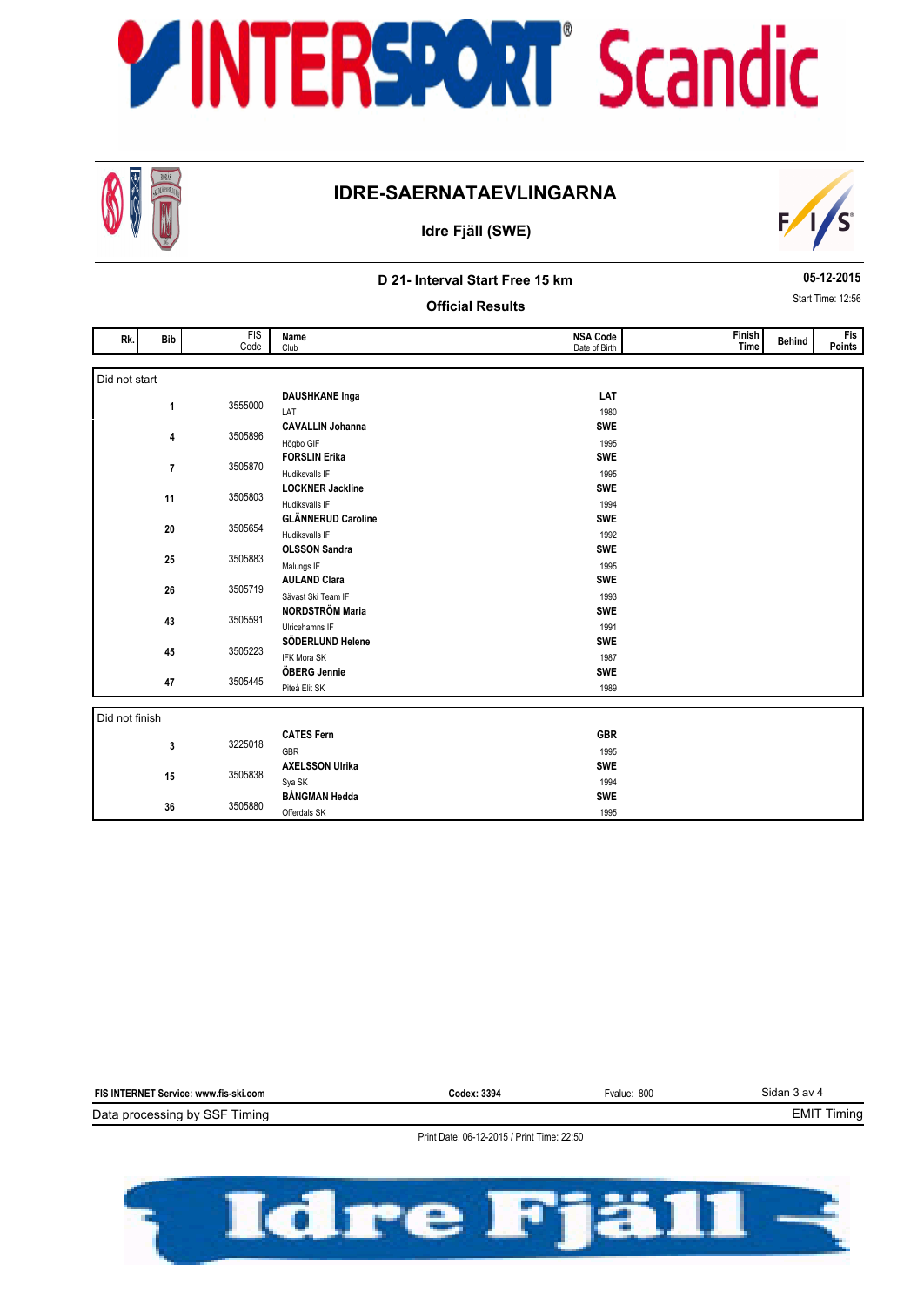

## **IDRE-SAERNATAEVLINGARNA**





### **D 21- Interval Start Free 15 km**

**05-12-2015** Start Time: 12:56

**Official Results**

| Rk.            | <b>Bib</b>              | FIS<br>Code | Name<br>Club                              | <b>NSA Code</b><br>Date of Birth | Finish<br>Time | <b>Behind</b> | <b>Fis</b><br>Points |
|----------------|-------------------------|-------------|-------------------------------------------|----------------------------------|----------------|---------------|----------------------|
|                |                         |             |                                           |                                  |                |               |                      |
| Did not start  |                         |             |                                           |                                  |                |               |                      |
|                |                         |             | <b>DAUSHKANE Inga</b>                     | LAT                              |                |               |                      |
|                | 1                       | 3555000     | LAT                                       | 1980                             |                |               |                      |
|                |                         |             | <b>CAVALLIN Johanna</b>                   | <b>SWE</b>                       |                |               |                      |
|                | 4                       | 3505896     | Högbo GIF                                 | 1995                             |                |               |                      |
|                |                         |             | <b>FORSLIN Erika</b>                      | <b>SWE</b>                       |                |               |                      |
|                | $\overline{\mathbf{r}}$ | 3505870     | Hudiksvalls IF                            | 1995                             |                |               |                      |
|                |                         |             | <b>LOCKNER Jackline</b>                   | <b>SWE</b>                       |                |               |                      |
|                | 11                      | 3505803     | Hudiksvalls IF                            | 1994                             |                |               |                      |
|                |                         |             | <b>GLÄNNERUD Caroline</b>                 | <b>SWE</b>                       |                |               |                      |
|                | 20                      | 3505654     | Hudiksvalls IF                            | 1992                             |                |               |                      |
|                |                         |             | <b>OLSSON Sandra</b>                      | <b>SWE</b>                       |                |               |                      |
|                | 25                      | 3505883     | Malungs IF                                | 1995                             |                |               |                      |
|                |                         | 3505719     | <b>AULAND Clara</b>                       | <b>SWE</b>                       |                |               |                      |
|                | 26                      |             | Sävast Ski Team IF                        | 1993                             |                |               |                      |
|                |                         |             | <b>NORDSTRÖM Maria</b>                    | <b>SWE</b>                       |                |               |                      |
|                | 43                      | 3505591     | Ulricehamns IF                            | 1991                             |                |               |                      |
|                |                         |             | SÖDERLUND Helene                          | <b>SWE</b>                       |                |               |                      |
|                | 45                      | 3505223     | <b>IFK Mora SK</b>                        | 1987                             |                |               |                      |
|                |                         |             | ÖBERG Jennie                              | <b>SWE</b>                       |                |               |                      |
|                | 47                      | 3505445     | Piteå Elit SK                             | 1989                             |                |               |                      |
|                |                         |             |                                           |                                  |                |               |                      |
| Did not finish |                         |             |                                           |                                  |                |               |                      |
|                |                         |             | <b>CATES Fern</b>                         | <b>GBR</b>                       |                |               |                      |
|                | 3                       | 3225018     | GBR                                       | 1995                             |                |               |                      |
|                |                         |             | <b>AXELSSON Ulrika</b>                    | <b>SWE</b>                       |                |               |                      |
|                | 15                      | 3505838     | Sya SK                                    | 1994                             |                |               |                      |
|                |                         |             | <b>BÅNGMAN Hedda</b>                      | <b>SWE</b>                       |                |               |                      |
|                | 36                      | 3505880     | $\sim$ $\sim$ $\sim$ $\sim$ $\sim$ $\sim$ | $- - -$                          |                |               |                      |

1995

Offerdals SK